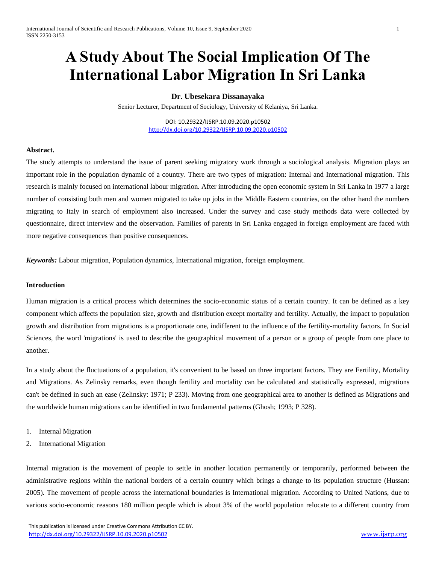# **A Study About The Social Implication Of The International Labor Migration In Sri Lanka**

## **Dr. Ubesekara Dissanayaka**

Senior Lecturer, Department of Sociology, University of Kelaniya, Sri Lanka.

DOI: 10.29322/IJSRP.10.09.2020.p10502 <http://dx.doi.org/10.29322/IJSRP.10.09.2020.p10502>

#### **Abstract.**

The study attempts to understand the issue of parent seeking migratory work through a sociological analysis. Migration plays an important role in the population dynamic of a country. There are two types of migration: Internal and International migration. This research is mainly focused on international labour migration. After introducing the open economic system in Sri Lanka in 1977 a large number of consisting both men and women migrated to take up jobs in the Middle Eastern countries, on the other hand the numbers migrating to Italy in search of employment also increased. Under the survey and case study methods data were collected by questionnaire, direct interview and the observation. Families of parents in Sri Lanka engaged in foreign employment are faced with more negative consequences than positive consequences.

*Keywords:* Labour migration, Population dynamics, International migration, foreign employment.

#### **Introduction**

Human migration is a critical process which determines the socio-economic status of a certain country. It can be defined as a key component which affects the population size, growth and distribution except mortality and fertility. Actually, the impact to population growth and distribution from migrations is a proportionate one, indifferent to the influence of the fertility-mortality factors. In Social Sciences, the word 'migrations' is used to describe the geographical movement of a person or a group of people from one place to another.

In a study about the fluctuations of a population, it's convenient to be based on three important factors. They are Fertility, Mortality and Migrations. As Zelinsky remarks, even though fertility and mortality can be calculated and statistically expressed, migrations can't be defined in such an ease (Zelinsky: 1971; P 233). Moving from one geographical area to another is defined as Migrations and the worldwide human migrations can be identified in two fundamental patterns (Ghosh; 1993; P 328).

- 1. Internal Migration
- 2. International Migration

Internal migration is the movement of people to settle in another location permanently or temporarily, performed between the administrative regions within the national borders of a certain country which brings a change to its population structure (Hussan: 2005). The movement of people across the international boundaries is International migration. According to United Nations, due to various socio-economic reasons 180 million people which is about 3% of the world population relocate to a different country from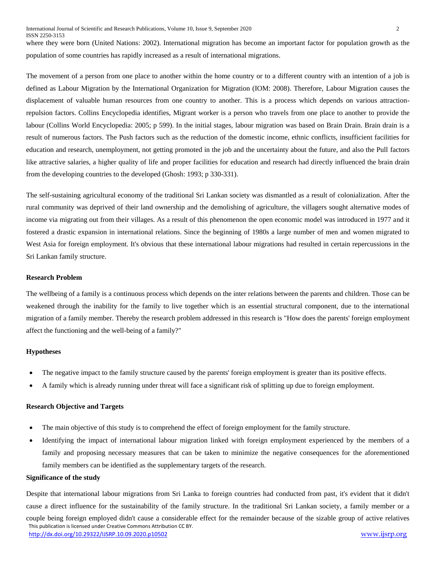where they were born (United Nations: 2002). International migration has become an important factor for population growth as the population of some countries has rapidly increased as a result of international migrations.

The movement of a person from one place to another within the home country or to a different country with an intention of a job is defined as Labour Migration by the International Organization for Migration (IOM: 2008). Therefore, Labour Migration causes the displacement of valuable human resources from one country to another. This is a process which depends on various attractionrepulsion factors. Collins Encyclopedia identifies, Migrant worker is a person who travels from one place to another to provide the labour (Collins World Encyclopedia: 2005; p 599). In the initial stages, labour migration was based on Brain Drain. Brain drain is a result of numerous factors. The Push factors such as the reduction of the domestic income, ethnic conflicts, insufficient facilities for education and research, unemployment, not getting promoted in the job and the uncertainty about the future, and also the Pull factors like attractive salaries, a higher quality of life and proper facilities for education and research had directly influenced the brain drain from the developing countries to the developed (Ghosh: 1993; p 330-331).

The self-sustaining agricultural economy of the traditional Sri Lankan society was dismantled as a result of colonialization. After the rural community was deprived of their land ownership and the demolishing of agriculture, the villagers sought alternative modes of income via migrating out from their villages. As a result of this phenomenon the open economic model was introduced in 1977 and it fostered a drastic expansion in international relations. Since the beginning of 1980s a large number of men and women migrated to West Asia for foreign employment. It's obvious that these international labour migrations had resulted in certain repercussions in the Sri Lankan family structure.

### **Research Problem**

The wellbeing of a family is a continuous process which depends on the inter relations between the parents and children. Those can be weakened through the inability for the family to live together which is an essential structural component, due to the international migration of a family member. Thereby the research problem addressed in this research is "How does the parents' foreign employment affect the functioning and the well-being of a family?"

### **Hypotheses**

- The negative impact to the family structure caused by the parents' foreign employment is greater than its positive effects.
- A family which is already running under threat will face a significant risk of splitting up due to foreign employment.

#### **Research Objective and Targets**

- The main objective of this study is to comprehend the effect of foreign employment for the family structure.
- Identifying the impact of international labour migration linked with foreign employment experienced by the members of a family and proposing necessary measures that can be taken to minimize the negative consequences for the aforementioned family members can be identified as the supplementary targets of the research.

#### **Significance of the study**

 This publication is licensed under Creative Commons Attribution CC BY. <http://dx.doi.org/10.29322/IJSRP.10.09.2020.p10502> [www.ijsrp.org](http://ijsrp.org/) Despite that international labour migrations from Sri Lanka to foreign countries had conducted from past, it's evident that it didn't cause a direct influence for the sustainability of the family structure. In the traditional Sri Lankan society, a family member or a couple being foreign employed didn't cause a considerable effect for the remainder because of the sizable group of active relatives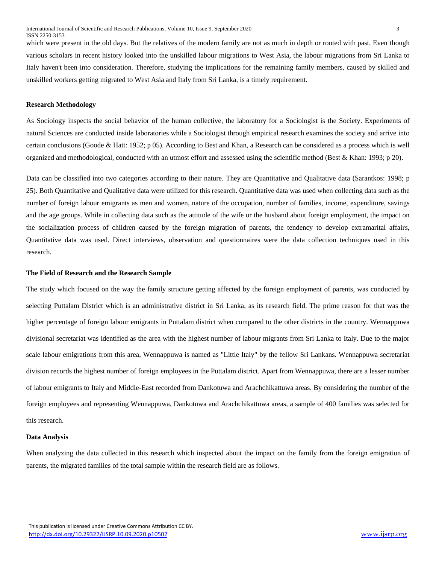which were present in the old days. But the relatives of the modern family are not as much in depth or rooted with past. Even though various scholars in recent history looked into the unskilled labour migrations to West Asia, the labour migrations from Sri Lanka to Italy haven't been into consideration. Therefore, studying the implications for the remaining family members, caused by skilled and unskilled workers getting migrated to West Asia and Italy from Sri Lanka, is a timely requirement.

#### **Research Methodology**

As Sociology inspects the social behavior of the human collective, the laboratory for a Sociologist is the Society. Experiments of natural Sciences are conducted inside laboratories while a Sociologist through empirical research examines the society and arrive into certain conclusions (Goode & Hatt: 1952; p 05). According to Best and Khan, a Research can be considered as a process which is well organized and methodological, conducted with an utmost effort and assessed using the scientific method (Best & Khan: 1993; p 20).

Data can be classified into two categories according to their nature. They are Quantitative and Qualitative data (Sarantkos: 1998; p 25). Both Quantitative and Qualitative data were utilized for this research. Quantitative data was used when collecting data such as the number of foreign labour emigrants as men and women, nature of the occupation, number of families, income, expenditure, savings and the age groups. While in collecting data such as the attitude of the wife or the husband about foreign employment, the impact on the socialization process of children caused by the foreign migration of parents, the tendency to develop extramarital affairs, Quantitative data was used. Direct interviews, observation and questionnaires were the data collection techniques used in this research.

#### **The Field of Research and the Research Sample**

The study which focused on the way the family structure getting affected by the foreign employment of parents, was conducted by selecting Puttalam District which is an administrative district in Sri Lanka, as its research field. The prime reason for that was the higher percentage of foreign labour emigrants in Puttalam district when compared to the other districts in the country. Wennappuwa divisional secretariat was identified as the area with the highest number of labour migrants from Sri Lanka to Italy. Due to the major scale labour emigrations from this area, Wennappuwa is named as "Little Italy" by the fellow Sri Lankans. Wennappuwa secretariat division records the highest number of foreign employees in the Puttalam district. Apart from Wennappuwa, there are a lesser number of labour emigrants to Italy and Middle-East recorded from Dankotuwa and Arachchikattuwa areas. By considering the number of the foreign employees and representing Wennappuwa, Dankotuwa and Arachchikattuwa areas, a sample of 400 families was selected for this research.

#### **Data Analysis**

When analyzing the data collected in this research which inspected about the impact on the family from the foreign emigration of parents, the migrated families of the total sample within the research field are as follows.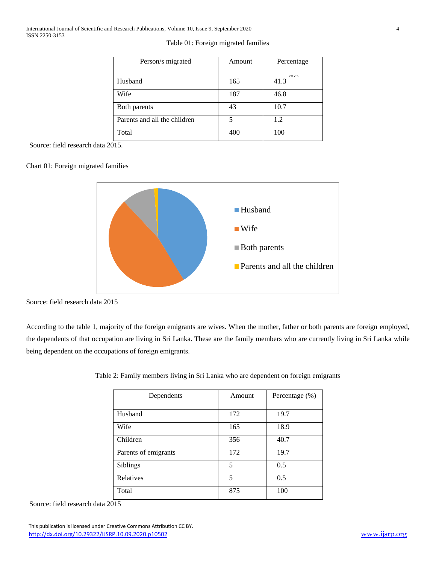## Table 01: Foreign migrated families

| Person/s migrated            | Amount | Percentage |
|------------------------------|--------|------------|
|                              |        | $\sqrt{2}$ |
| Husband                      | 165    | 41.3       |
| Wife                         | 187    | 46.8       |
| Both parents                 | 43     | 10.7       |
| Parents and all the children | 5      | 1.2        |
| Total                        | 400    | 100        |

Source: field research data 2015.

## Chart 01: Foreign migrated families



Source: field research data 2015

According to the table 1, majority of the foreign emigrants are wives. When the mother, father or both parents are foreign employed, the dependents of that occupation are living in Sri Lanka. These are the family members who are currently living in Sri Lanka while being dependent on the occupations of foreign emigrants.

| Dependents           | Amount | Percentage (%) |
|----------------------|--------|----------------|
|                      |        |                |
| Husband              | 172    | 19.7           |
| Wife                 | 165    | 18.9           |
| Children             | 356    | 40.7           |
| Parents of emigrants | 172    | 19.7           |
| <b>Siblings</b>      | 5      | 0.5            |
| Relatives            | 5      | 0.5            |
| Total                | 875    | 100            |

Table 2: Family members living in Sri Lanka who are dependent on foreign emigrants

Source: field research data 2015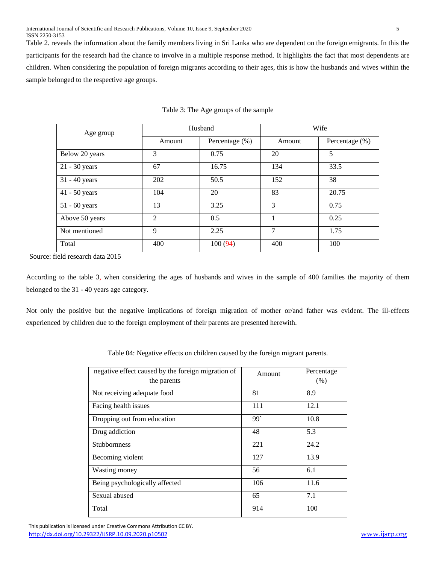Table 2. reveals the information about the family members living in Sri Lanka who are dependent on the foreign emigrants. In this the participants for the research had the chance to involve in a multiple response method. It highlights the fact that most dependents are children. When considering the population of foreign migrants according to their ages, this is how the husbands and wives within the sample belonged to the respective age groups.

| Age group       |                | Husband        | Wife   |                |  |
|-----------------|----------------|----------------|--------|----------------|--|
|                 | Amount         | Percentage (%) | Amount | Percentage (%) |  |
| Below 20 years  | 3              | 0.75           | 20     | 5              |  |
| $21 - 30$ years | 67             | 16.75          | 134    | 33.5           |  |
| $31 - 40$ years | 202            | 50.5           | 152    | 38             |  |
| 41 - 50 years   | 104            | 20             | 83     | 20.75          |  |
| $51 - 60$ years | 13             | 3.25           | 3      | 0.75           |  |
| Above 50 years  | $\mathfrak{D}$ | 0.5            |        | 0.25           |  |
| Not mentioned   | 9              | 2.25           | 7      | 1.75           |  |
| Total           | 400            | 100(94)        | 400    | 100            |  |

|  |  | Table 3: The Age groups of the sample |  |  |
|--|--|---------------------------------------|--|--|
|  |  |                                       |  |  |

Source: field research data 2015

According to the table 3, when considering the ages of husbands and wives in the sample of 400 families the majority of them belonged to the 31 - 40 years age category.

Not only the positive but the negative implications of foreign migration of mother or/and father was evident. The ill-effects experienced by children due to the foreign employment of their parents are presented herewith.

| Table 04: Negative effects on children caused by the foreign migrant parents. |  |  |  |  |
|-------------------------------------------------------------------------------|--|--|--|--|
|                                                                               |  |  |  |  |

| negative effect caused by the foreign migration of<br>the parents | Amount | Percentage<br>(% ) |
|-------------------------------------------------------------------|--------|--------------------|
| Not receiving adequate food                                       | 81     | 8.9                |
| Facing health issues                                              | 111    | 12.1               |
| Dropping out from education                                       | 99     | 10.8               |
| Drug addiction                                                    | 48     | 5.3                |
| <b>Stubbornness</b>                                               | 221    | 24.2               |
| Becoming violent                                                  | 127    | 13.9               |
| Wasting money                                                     | 56     | 6.1                |
| Being psychologically affected                                    | 106    | 11.6               |
| Sexual abused                                                     | 65     | 7.1                |
| Total                                                             | 914    | 100                |

 This publication is licensed under Creative Commons Attribution CC BY. <http://dx.doi.org/10.29322/IJSRP.10.09.2020.p10502> [www.ijsrp.org](http://ijsrp.org/)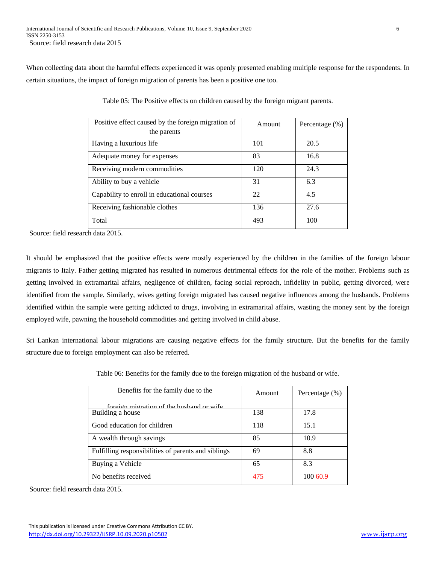When collecting data about the harmful effects experienced it was openly presented enabling multiple response for the respondents. In certain situations, the impact of foreign migration of parents has been a positive one too.

| Positive effect caused by the foreign migration of<br>the parents | Amount | Percentage (%) |
|-------------------------------------------------------------------|--------|----------------|
| Having a luxurious life                                           | 101    | 20.5           |
| Adequate money for expenses                                       | 83     | 16.8           |
| Receiving modern commodities                                      | 120    | 24.3           |
| Ability to buy a vehicle                                          | 31     | 6.3            |
| Capability to enroll in educational courses                       | 22     | 4.5            |
| Receiving fashionable clothes                                     | 136    | 27.6           |
| Total                                                             | 493    | 100            |

Table 05: The Positive effects on children caused by the foreign migrant parents.

Source: field research data 2015.

It should be emphasized that the positive effects were mostly experienced by the children in the families of the foreign labour migrants to Italy. Father getting migrated has resulted in numerous detrimental effects for the role of the mother. Problems such as getting involved in extramarital affairs, negligence of children, facing social reproach, infidelity in public, getting divorced, were identified from the sample. Similarly, wives getting foreign migrated has caused negative influences among the husbands. Problems identified within the sample were getting addicted to drugs, involving in extramarital affairs, wasting the money sent by the foreign employed wife, pawning the household commodities and getting involved in child abuse.

Sri Lankan international labour migrations are causing negative effects for the family structure. But the benefits for the family structure due to foreign employment can also be referred.

| Benefits for the family due to the                  | Amount | Percentage (%) |
|-----------------------------------------------------|--------|----------------|
| foreign migration of the husband or wife            |        |                |
| Building a house                                    | 138    | 17.8           |
| Good education for children                         | 118    | 15.1           |
| A wealth through savings                            | 85     | 10.9           |
| Fulfilling responsibilities of parents and siblings | 69     | 8.8            |
| Buying a Vehicle                                    | 65     | 8.3            |
| No benefits received                                | 475    | 100 60.9       |

Table 06: Benefits for the family due to the foreign migration of the husband or wife.

Source: field research data 2015.